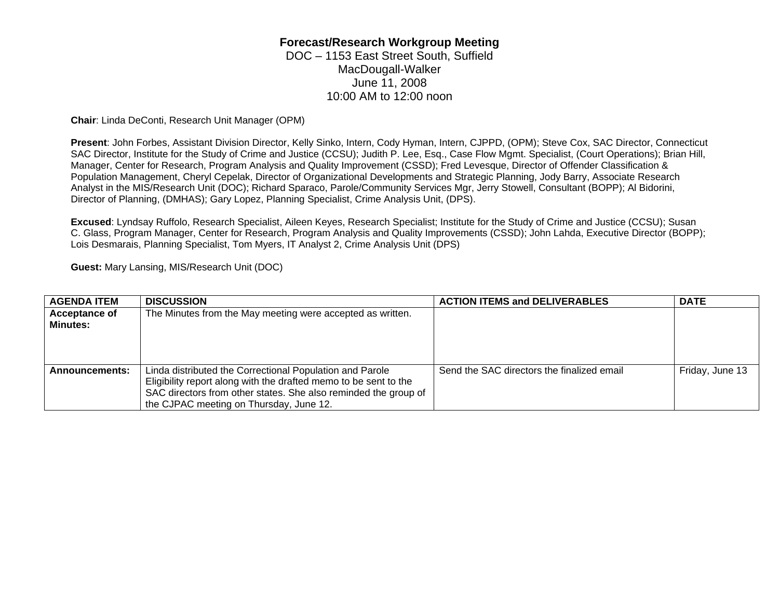## **Forecast/Research Workgroup Meeting**

DOC – 1153 East Street South, Suffield MacDougall-Walker June 11, 2008 10:00 AM to 12:00 noon

**Chair**: Linda DeConti, Research Unit Manager (OPM)

**Present**: John Forbes, Assistant Division Director, Kelly Sinko, Intern, Cody Hyman, Intern, CJPPD, (OPM); Steve Cox, SAC Director, Connecticut SAC Director, Institute for the Study of Crime and Justice (CCSU); Judith P. Lee, Esq., Case Flow Mgmt. Specialist, (Court Operations); Brian Hill, Manager, Center for Research, Program Analysis and Quality Improvement (CSSD); Fred Levesque, Director of Offender Classification & Population Management, Cheryl Cepelak, Director of Organizational Developments and Strategic Planning, Jody Barry, Associate Research Analyst in the MIS/Research Unit (DOC); Richard Sparaco, Parole/Community Services Mgr, Jerry Stowell, Consultant (BOPP); Al Bidorini, Director of Planning, (DMHAS); Gary Lopez, Planning Specialist, Crime Analysis Unit, (DPS).

**Excused**: Lyndsay Ruffolo, Research Specialist, Aileen Keyes, Research Specialist; Institute for the Study of Crime and Justice (CCSU); Susan C. Glass, Program Manager, Center for Research, Program Analysis and Quality Improvements (CSSD); John Lahda, Executive Director (BOPP); Lois Desmarais, Planning Specialist, Tom Myers, IT Analyst 2, Crime Analysis Unit (DPS)

**Guest:** Mary Lansing, MIS/Research Unit (DOC)

| <b>AGENDA ITEM</b>   | <b>DISCUSSION</b>                                                | <b>ACTION ITEMS and DELIVERABLES</b>       | <b>DATE</b>     |
|----------------------|------------------------------------------------------------------|--------------------------------------------|-----------------|
| <b>Acceptance of</b> | The Minutes from the May meeting were accepted as written.       |                                            |                 |
| <b>Minutes:</b>      |                                                                  |                                            |                 |
|                      |                                                                  |                                            |                 |
|                      |                                                                  |                                            |                 |
|                      |                                                                  |                                            |                 |
| Announcements:       | Linda distributed the Correctional Population and Parole         | Send the SAC directors the finalized email | Friday, June 13 |
|                      | Eligibility report along with the drafted memo to be sent to the |                                            |                 |
|                      | SAC directors from other states. She also reminded the group of  |                                            |                 |
|                      | the CJPAC meeting on Thursday, June 12.                          |                                            |                 |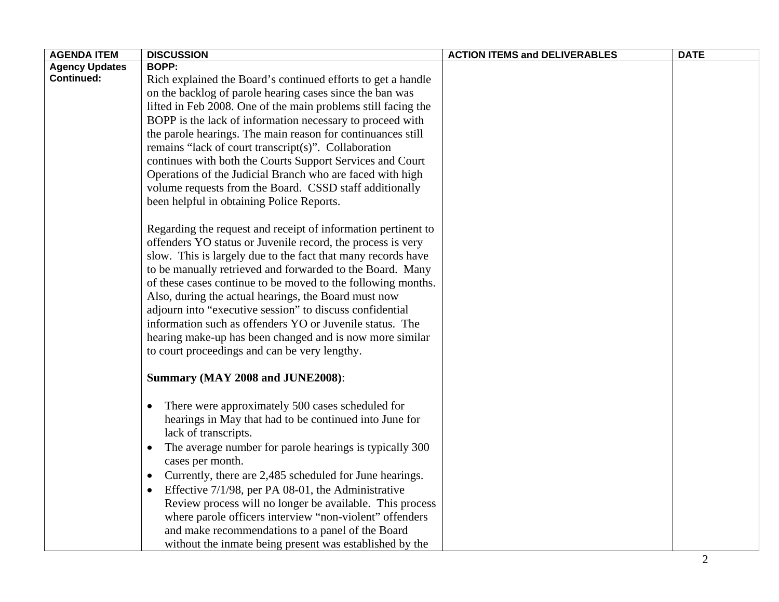| <b>AGENDA ITEM</b>    | <b>DISCUSSION</b>                                                    | <b>ACTION ITEMS and DELIVERABLES</b> | <b>DATE</b> |
|-----------------------|----------------------------------------------------------------------|--------------------------------------|-------------|
| <b>Agency Updates</b> | <b>BOPP:</b>                                                         |                                      |             |
| <b>Continued:</b>     | Rich explained the Board's continued efforts to get a handle         |                                      |             |
|                       | on the backlog of parole hearing cases since the ban was             |                                      |             |
|                       | lifted in Feb 2008. One of the main problems still facing the        |                                      |             |
|                       | BOPP is the lack of information necessary to proceed with            |                                      |             |
|                       | the parole hearings. The main reason for continuances still          |                                      |             |
|                       | remains "lack of court transcript(s)". Collaboration                 |                                      |             |
|                       | continues with both the Courts Support Services and Court            |                                      |             |
|                       | Operations of the Judicial Branch who are faced with high            |                                      |             |
|                       | volume requests from the Board. CSSD staff additionally              |                                      |             |
|                       | been helpful in obtaining Police Reports.                            |                                      |             |
|                       | Regarding the request and receipt of information pertinent to        |                                      |             |
|                       | offenders YO status or Juvenile record, the process is very          |                                      |             |
|                       | slow. This is largely due to the fact that many records have         |                                      |             |
|                       | to be manually retrieved and forwarded to the Board. Many            |                                      |             |
|                       | of these cases continue to be moved to the following months.         |                                      |             |
|                       | Also, during the actual hearings, the Board must now                 |                                      |             |
|                       | adjourn into "executive session" to discuss confidential             |                                      |             |
|                       | information such as offenders YO or Juvenile status. The             |                                      |             |
|                       | hearing make-up has been changed and is now more similar             |                                      |             |
|                       | to court proceedings and can be very lengthy.                        |                                      |             |
|                       | Summary (MAY 2008 and JUNE2008):                                     |                                      |             |
|                       | There were approximately 500 cases scheduled for<br>$\bullet$        |                                      |             |
|                       | hearings in May that had to be continued into June for               |                                      |             |
|                       | lack of transcripts.                                                 |                                      |             |
|                       | The average number for parole hearings is typically 300<br>$\bullet$ |                                      |             |
|                       | cases per month.                                                     |                                      |             |
|                       | Currently, there are 2,485 scheduled for June hearings.<br>$\bullet$ |                                      |             |
|                       | Effective 7/1/98, per PA 08-01, the Administrative                   |                                      |             |
|                       | Review process will no longer be available. This process             |                                      |             |
|                       | where parole officers interview "non-violent" offenders              |                                      |             |
|                       | and make recommendations to a panel of the Board                     |                                      |             |
|                       | without the inmate being present was established by the              |                                      |             |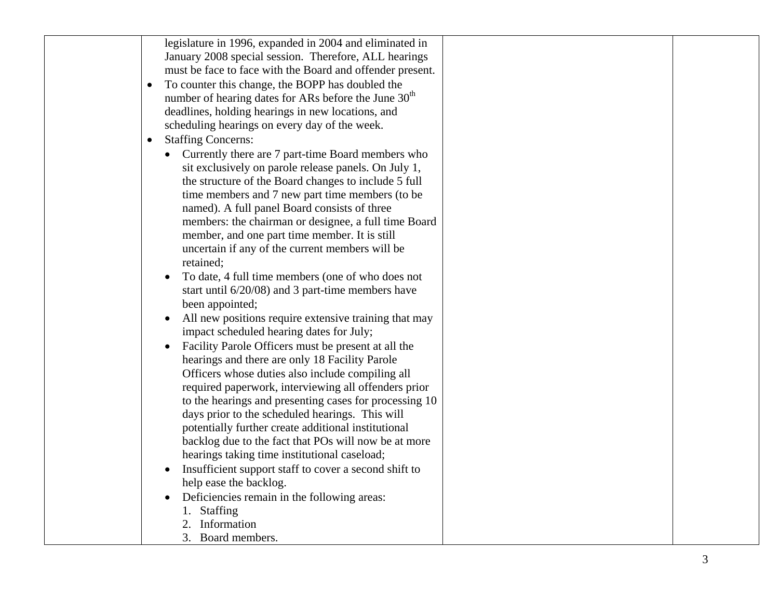|           | legislature in 1996, expanded in 2004 and eliminated in          |  |
|-----------|------------------------------------------------------------------|--|
|           | January 2008 special session. Therefore, ALL hearings            |  |
|           | must be face to face with the Board and offender present.        |  |
| $\bullet$ | To counter this change, the BOPP has doubled the                 |  |
|           | number of hearing dates for ARs before the June 30 <sup>th</sup> |  |
|           | deadlines, holding hearings in new locations, and                |  |
|           | scheduling hearings on every day of the week.                    |  |
| $\bullet$ | <b>Staffing Concerns:</b>                                        |  |
|           | Currently there are 7 part-time Board members who                |  |
|           | sit exclusively on parole release panels. On July 1,             |  |
|           | the structure of the Board changes to include 5 full             |  |
|           | time members and 7 new part time members (to be                  |  |
|           | named). A full panel Board consists of three                     |  |
|           | members: the chairman or designee, a full time Board             |  |
|           | member, and one part time member. It is still                    |  |
|           | uncertain if any of the current members will be                  |  |
|           | retained;                                                        |  |
|           | To date, 4 full time members (one of who does not                |  |
|           | start until 6/20/08) and 3 part-time members have                |  |
|           | been appointed;                                                  |  |
|           | All new positions require extensive training that may            |  |
|           | impact scheduled hearing dates for July;                         |  |
|           | Facility Parole Officers must be present at all the              |  |
|           | hearings and there are only 18 Facility Parole                   |  |
|           | Officers whose duties also include compiling all                 |  |
|           | required paperwork, interviewing all offenders prior             |  |
|           | to the hearings and presenting cases for processing 10           |  |
|           | days prior to the scheduled hearings. This will                  |  |
|           | potentially further create additional institutional              |  |
|           | backlog due to the fact that POs will now be at more             |  |
|           | hearings taking time institutional caseload;                     |  |
|           | Insufficient support staff to cover a second shift to            |  |
|           | help ease the backlog.                                           |  |
|           | Deficiencies remain in the following areas:                      |  |
|           | <b>Staffing</b>                                                  |  |
|           | Information                                                      |  |
|           | 3. Board members.                                                |  |
|           |                                                                  |  |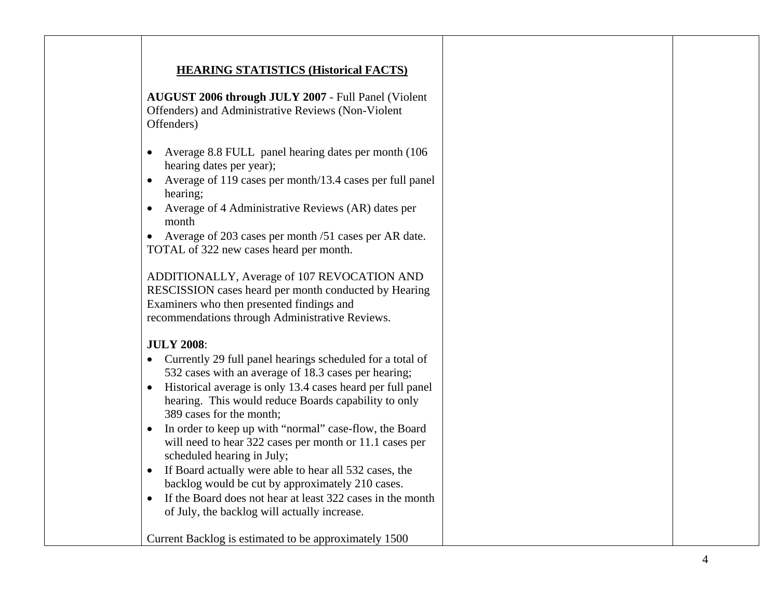## **HEARING STATISTICS (Historical FACTS)**

**AUGUST 2006 through JULY 2007** - Full Panel (Violent Offenders) and Administrative Reviews (Non-Violent Offenders)

- Average 8.8 FULL panel hearing dates per month (106) hearing dates per year);
- Average of 119 cases per month/13.4 cases per full panel hearing;
- Average of 4 Administrative Reviews (AR) dates per month

• Average of 203 cases per month /51 cases per AR date. TOTAL of 322 new cases heard per month.

ADDITIONALLY, Average of 107 REVOCATION AND RESCISSION cases heard per month conducted by Hearing Examiners who then presented findings and recommendations through Administrative Reviews.

## **JULY 2008**:

- Currently 29 full panel hearings scheduled for a total of 532 cases with an average of 18.3 cases per hearing;
- Historical average is only 13.4 cases heard per full panel hearing. This would reduce Boards capability to only 389 cases for the month;
- In order to keep up with "normal" case-flow, the Board will need to hear 322 cases per month or 11.1 cases per scheduled hearing in July;
- If Board actually were able to hear all 532 cases, the backlog would be cut by approximately 210 cases.
- If the Board does not hear at least 322 cases in the month of July, the backlog will actually increase.

Current Backlog is estimated to be approximately 1500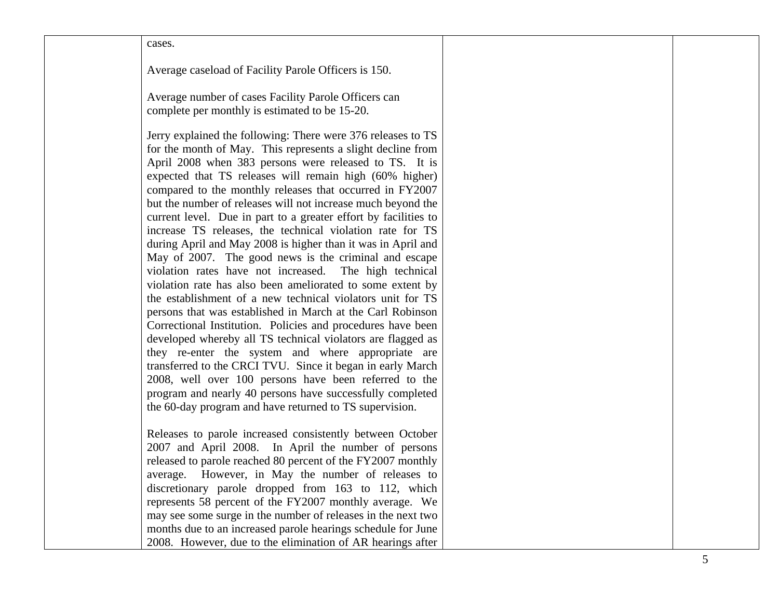cases.

Average caseload of Facility Parole Officers is 150.

Average number of cases Facility Parole Officers can complete per monthly is estimated to be 15-20.

Jerry explained the following: There were 376 releases to TS for the month of May. This represents a slight decline from April 2008 when 383 persons were released to TS. It is expected that TS releases will remain high (60% higher) compared to the monthly releases that occurred in FY2007 but the number of releases will not increase much beyond the current level. Due in part to a greater effort by facilities to increase TS releases, the technical violation rate for TS during April and May 2008 is higher than it was in April and May of 2007. The good news is the criminal and escape violation rates have not increased. The high technical violation rate has also been ameliorated to some extent by the establishment of a new technical violators unit for TS persons that was established in March at the Carl Robinson Correctional Institution. Policies and procedures have been developed whereby all TS technical violators are flagged as they re-enter the system and where appropriate are transferred to the CRCI TVU. Since it began in early March 2008, well over 100 persons have been referred to the program and nearly 40 persons have successfully completed the 60-day program and have returned to TS supervision.

Releases to parole increased consistently between October 2007 and April 2008. In April the number of persons released to parole reached 80 percent of the FY2007 monthly average. However, in May the number of releases to discretionary parole dropped from 163 to 112, which represents 58 percent of the FY2007 monthly average. We may see some surge in the number of releases in the next two months due to an increased parole hearings schedule for June 2008. However, due to the elimination of AR hearings after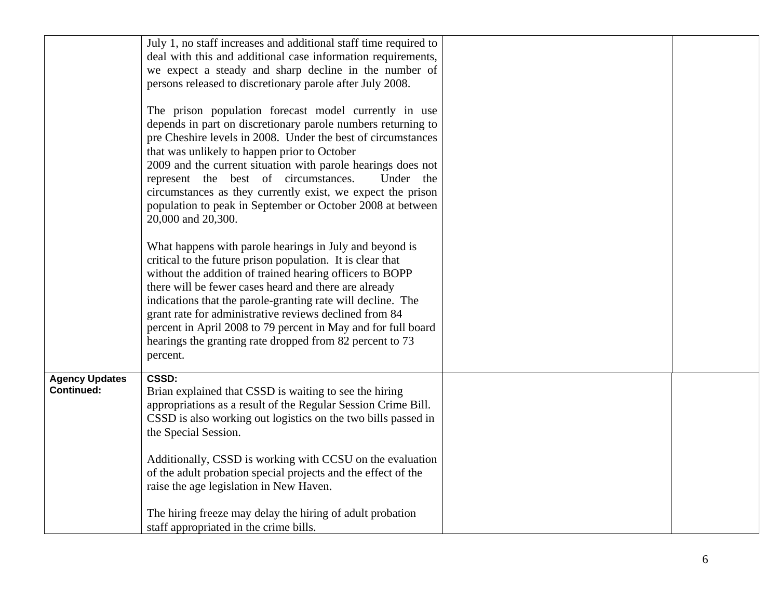|                                            | July 1, no staff increases and additional staff time required to<br>deal with this and additional case information requirements,<br>we expect a steady and sharp decline in the number of<br>persons released to discretionary parole after July 2008.                                                                                                                                                                                                                                                        |  |
|--------------------------------------------|---------------------------------------------------------------------------------------------------------------------------------------------------------------------------------------------------------------------------------------------------------------------------------------------------------------------------------------------------------------------------------------------------------------------------------------------------------------------------------------------------------------|--|
|                                            | The prison population forecast model currently in use<br>depends in part on discretionary parole numbers returning to<br>pre Cheshire levels in 2008. Under the best of circumstances<br>that was unlikely to happen prior to October<br>2009 and the current situation with parole hearings does not<br>represent the best of circumstances.<br>Under the<br>circumstances as they currently exist, we expect the prison<br>population to peak in September or October 2008 at between<br>20,000 and 20,300. |  |
|                                            | What happens with parole hearings in July and beyond is<br>critical to the future prison population. It is clear that<br>without the addition of trained hearing officers to BOPP<br>there will be fewer cases heard and there are already<br>indications that the parole-granting rate will decline. The<br>grant rate for administrative reviews declined from 84<br>percent in April 2008 to 79 percent in May and for full board<br>hearings the granting rate dropped from 82 percent to 73<br>percent.  |  |
| <b>Agency Updates</b><br><b>Continued:</b> | <b>CSSD:</b><br>Brian explained that CSSD is waiting to see the hiring<br>appropriations as a result of the Regular Session Crime Bill.<br>CSSD is also working out logistics on the two bills passed in<br>the Special Session.                                                                                                                                                                                                                                                                              |  |
|                                            | Additionally, CSSD is working with CCSU on the evaluation<br>of the adult probation special projects and the effect of the<br>raise the age legislation in New Haven.                                                                                                                                                                                                                                                                                                                                         |  |
|                                            | The hiring freeze may delay the hiring of adult probation<br>staff appropriated in the crime bills.                                                                                                                                                                                                                                                                                                                                                                                                           |  |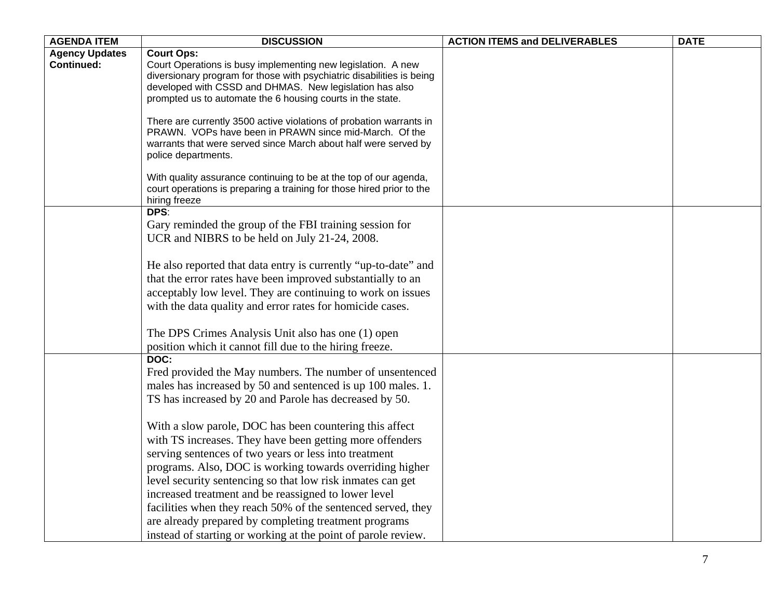| <b>AGENDA ITEM</b>    | <b>DISCUSSION</b>                                                                                                                          | <b>ACTION ITEMS and DELIVERABLES</b> | <b>DATE</b> |
|-----------------------|--------------------------------------------------------------------------------------------------------------------------------------------|--------------------------------------|-------------|
| <b>Agency Updates</b> | <b>Court Ops:</b>                                                                                                                          |                                      |             |
| <b>Continued:</b>     | Court Operations is busy implementing new legislation. A new                                                                               |                                      |             |
|                       | diversionary program for those with psychiatric disabilities is being                                                                      |                                      |             |
|                       | developed with CSSD and DHMAS. New legislation has also                                                                                    |                                      |             |
|                       | prompted us to automate the 6 housing courts in the state.                                                                                 |                                      |             |
|                       | There are currently 3500 active violations of probation warrants in                                                                        |                                      |             |
|                       | PRAWN. VOPs have been in PRAWN since mid-March. Of the                                                                                     |                                      |             |
|                       | warrants that were served since March about half were served by                                                                            |                                      |             |
|                       | police departments.                                                                                                                        |                                      |             |
|                       |                                                                                                                                            |                                      |             |
|                       | With quality assurance continuing to be at the top of our agenda,<br>court operations is preparing a training for those hired prior to the |                                      |             |
|                       | hiring freeze                                                                                                                              |                                      |             |
|                       | DPS:                                                                                                                                       |                                      |             |
|                       | Gary reminded the group of the FBI training session for                                                                                    |                                      |             |
|                       | UCR and NIBRS to be held on July 21-24, 2008.                                                                                              |                                      |             |
|                       |                                                                                                                                            |                                      |             |
|                       | He also reported that data entry is currently "up-to-date" and                                                                             |                                      |             |
|                       | that the error rates have been improved substantially to an                                                                                |                                      |             |
|                       | acceptably low level. They are continuing to work on issues                                                                                |                                      |             |
|                       | with the data quality and error rates for homicide cases.                                                                                  |                                      |             |
|                       |                                                                                                                                            |                                      |             |
|                       | The DPS Crimes Analysis Unit also has one (1) open                                                                                         |                                      |             |
|                       | position which it cannot fill due to the hiring freeze.                                                                                    |                                      |             |
|                       | DOC:                                                                                                                                       |                                      |             |
|                       | Fred provided the May numbers. The number of unsentenced                                                                                   |                                      |             |
|                       | males has increased by 50 and sentenced is up 100 males. 1.                                                                                |                                      |             |
|                       | TS has increased by 20 and Parole has decreased by 50.                                                                                     |                                      |             |
|                       |                                                                                                                                            |                                      |             |
|                       | With a slow parole, DOC has been countering this affect                                                                                    |                                      |             |
|                       | with TS increases. They have been getting more offenders                                                                                   |                                      |             |
|                       | serving sentences of two years or less into treatment                                                                                      |                                      |             |
|                       | programs. Also, DOC is working towards overriding higher                                                                                   |                                      |             |
|                       | level security sentencing so that low risk inmates can get                                                                                 |                                      |             |
|                       | increased treatment and be reassigned to lower level                                                                                       |                                      |             |
|                       | facilities when they reach 50% of the sentenced served, they                                                                               |                                      |             |
|                       | are already prepared by completing treatment programs                                                                                      |                                      |             |
|                       | instead of starting or working at the point of parole review.                                                                              |                                      |             |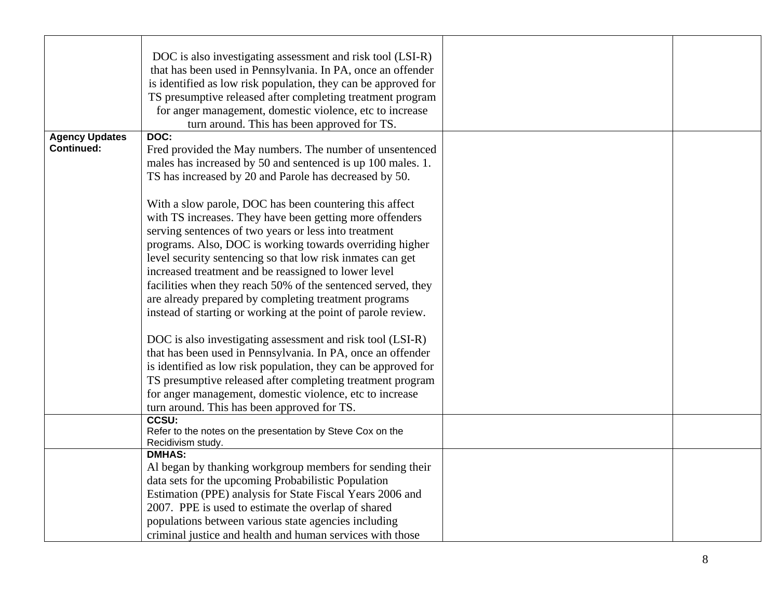| DOC is also investigating assessment and risk tool (LSI-R)     |                                                                                                                                                                                                                                                                                                                                                                                                                                                                                                                                                                                                                                                                                                                                                                                                                                                                                                                                                                                                                                                                                                                                                                                                                                                                                                                                                                                                                                                                                                                                                                                                                                     |  |
|----------------------------------------------------------------|-------------------------------------------------------------------------------------------------------------------------------------------------------------------------------------------------------------------------------------------------------------------------------------------------------------------------------------------------------------------------------------------------------------------------------------------------------------------------------------------------------------------------------------------------------------------------------------------------------------------------------------------------------------------------------------------------------------------------------------------------------------------------------------------------------------------------------------------------------------------------------------------------------------------------------------------------------------------------------------------------------------------------------------------------------------------------------------------------------------------------------------------------------------------------------------------------------------------------------------------------------------------------------------------------------------------------------------------------------------------------------------------------------------------------------------------------------------------------------------------------------------------------------------------------------------------------------------------------------------------------------------|--|
| that has been used in Pennsylvania. In PA, once an offender    |                                                                                                                                                                                                                                                                                                                                                                                                                                                                                                                                                                                                                                                                                                                                                                                                                                                                                                                                                                                                                                                                                                                                                                                                                                                                                                                                                                                                                                                                                                                                                                                                                                     |  |
| is identified as low risk population, they can be approved for |                                                                                                                                                                                                                                                                                                                                                                                                                                                                                                                                                                                                                                                                                                                                                                                                                                                                                                                                                                                                                                                                                                                                                                                                                                                                                                                                                                                                                                                                                                                                                                                                                                     |  |
| TS presumptive released after completing treatment program     |                                                                                                                                                                                                                                                                                                                                                                                                                                                                                                                                                                                                                                                                                                                                                                                                                                                                                                                                                                                                                                                                                                                                                                                                                                                                                                                                                                                                                                                                                                                                                                                                                                     |  |
|                                                                |                                                                                                                                                                                                                                                                                                                                                                                                                                                                                                                                                                                                                                                                                                                                                                                                                                                                                                                                                                                                                                                                                                                                                                                                                                                                                                                                                                                                                                                                                                                                                                                                                                     |  |
|                                                                |                                                                                                                                                                                                                                                                                                                                                                                                                                                                                                                                                                                                                                                                                                                                                                                                                                                                                                                                                                                                                                                                                                                                                                                                                                                                                                                                                                                                                                                                                                                                                                                                                                     |  |
| DOC:                                                           |                                                                                                                                                                                                                                                                                                                                                                                                                                                                                                                                                                                                                                                                                                                                                                                                                                                                                                                                                                                                                                                                                                                                                                                                                                                                                                                                                                                                                                                                                                                                                                                                                                     |  |
|                                                                |                                                                                                                                                                                                                                                                                                                                                                                                                                                                                                                                                                                                                                                                                                                                                                                                                                                                                                                                                                                                                                                                                                                                                                                                                                                                                                                                                                                                                                                                                                                                                                                                                                     |  |
|                                                                |                                                                                                                                                                                                                                                                                                                                                                                                                                                                                                                                                                                                                                                                                                                                                                                                                                                                                                                                                                                                                                                                                                                                                                                                                                                                                                                                                                                                                                                                                                                                                                                                                                     |  |
|                                                                |                                                                                                                                                                                                                                                                                                                                                                                                                                                                                                                                                                                                                                                                                                                                                                                                                                                                                                                                                                                                                                                                                                                                                                                                                                                                                                                                                                                                                                                                                                                                                                                                                                     |  |
|                                                                |                                                                                                                                                                                                                                                                                                                                                                                                                                                                                                                                                                                                                                                                                                                                                                                                                                                                                                                                                                                                                                                                                                                                                                                                                                                                                                                                                                                                                                                                                                                                                                                                                                     |  |
|                                                                |                                                                                                                                                                                                                                                                                                                                                                                                                                                                                                                                                                                                                                                                                                                                                                                                                                                                                                                                                                                                                                                                                                                                                                                                                                                                                                                                                                                                                                                                                                                                                                                                                                     |  |
|                                                                |                                                                                                                                                                                                                                                                                                                                                                                                                                                                                                                                                                                                                                                                                                                                                                                                                                                                                                                                                                                                                                                                                                                                                                                                                                                                                                                                                                                                                                                                                                                                                                                                                                     |  |
|                                                                |                                                                                                                                                                                                                                                                                                                                                                                                                                                                                                                                                                                                                                                                                                                                                                                                                                                                                                                                                                                                                                                                                                                                                                                                                                                                                                                                                                                                                                                                                                                                                                                                                                     |  |
|                                                                |                                                                                                                                                                                                                                                                                                                                                                                                                                                                                                                                                                                                                                                                                                                                                                                                                                                                                                                                                                                                                                                                                                                                                                                                                                                                                                                                                                                                                                                                                                                                                                                                                                     |  |
|                                                                |                                                                                                                                                                                                                                                                                                                                                                                                                                                                                                                                                                                                                                                                                                                                                                                                                                                                                                                                                                                                                                                                                                                                                                                                                                                                                                                                                                                                                                                                                                                                                                                                                                     |  |
|                                                                |                                                                                                                                                                                                                                                                                                                                                                                                                                                                                                                                                                                                                                                                                                                                                                                                                                                                                                                                                                                                                                                                                                                                                                                                                                                                                                                                                                                                                                                                                                                                                                                                                                     |  |
|                                                                |                                                                                                                                                                                                                                                                                                                                                                                                                                                                                                                                                                                                                                                                                                                                                                                                                                                                                                                                                                                                                                                                                                                                                                                                                                                                                                                                                                                                                                                                                                                                                                                                                                     |  |
|                                                                |                                                                                                                                                                                                                                                                                                                                                                                                                                                                                                                                                                                                                                                                                                                                                                                                                                                                                                                                                                                                                                                                                                                                                                                                                                                                                                                                                                                                                                                                                                                                                                                                                                     |  |
|                                                                |                                                                                                                                                                                                                                                                                                                                                                                                                                                                                                                                                                                                                                                                                                                                                                                                                                                                                                                                                                                                                                                                                                                                                                                                                                                                                                                                                                                                                                                                                                                                                                                                                                     |  |
|                                                                |                                                                                                                                                                                                                                                                                                                                                                                                                                                                                                                                                                                                                                                                                                                                                                                                                                                                                                                                                                                                                                                                                                                                                                                                                                                                                                                                                                                                                                                                                                                                                                                                                                     |  |
|                                                                |                                                                                                                                                                                                                                                                                                                                                                                                                                                                                                                                                                                                                                                                                                                                                                                                                                                                                                                                                                                                                                                                                                                                                                                                                                                                                                                                                                                                                                                                                                                                                                                                                                     |  |
|                                                                |                                                                                                                                                                                                                                                                                                                                                                                                                                                                                                                                                                                                                                                                                                                                                                                                                                                                                                                                                                                                                                                                                                                                                                                                                                                                                                                                                                                                                                                                                                                                                                                                                                     |  |
|                                                                |                                                                                                                                                                                                                                                                                                                                                                                                                                                                                                                                                                                                                                                                                                                                                                                                                                                                                                                                                                                                                                                                                                                                                                                                                                                                                                                                                                                                                                                                                                                                                                                                                                     |  |
|                                                                |                                                                                                                                                                                                                                                                                                                                                                                                                                                                                                                                                                                                                                                                                                                                                                                                                                                                                                                                                                                                                                                                                                                                                                                                                                                                                                                                                                                                                                                                                                                                                                                                                                     |  |
|                                                                |                                                                                                                                                                                                                                                                                                                                                                                                                                                                                                                                                                                                                                                                                                                                                                                                                                                                                                                                                                                                                                                                                                                                                                                                                                                                                                                                                                                                                                                                                                                                                                                                                                     |  |
|                                                                |                                                                                                                                                                                                                                                                                                                                                                                                                                                                                                                                                                                                                                                                                                                                                                                                                                                                                                                                                                                                                                                                                                                                                                                                                                                                                                                                                                                                                                                                                                                                                                                                                                     |  |
|                                                                |                                                                                                                                                                                                                                                                                                                                                                                                                                                                                                                                                                                                                                                                                                                                                                                                                                                                                                                                                                                                                                                                                                                                                                                                                                                                                                                                                                                                                                                                                                                                                                                                                                     |  |
|                                                                |                                                                                                                                                                                                                                                                                                                                                                                                                                                                                                                                                                                                                                                                                                                                                                                                                                                                                                                                                                                                                                                                                                                                                                                                                                                                                                                                                                                                                                                                                                                                                                                                                                     |  |
|                                                                |                                                                                                                                                                                                                                                                                                                                                                                                                                                                                                                                                                                                                                                                                                                                                                                                                                                                                                                                                                                                                                                                                                                                                                                                                                                                                                                                                                                                                                                                                                                                                                                                                                     |  |
| <b>DMHAS:</b>                                                  |                                                                                                                                                                                                                                                                                                                                                                                                                                                                                                                                                                                                                                                                                                                                                                                                                                                                                                                                                                                                                                                                                                                                                                                                                                                                                                                                                                                                                                                                                                                                                                                                                                     |  |
| Al began by thanking workgroup members for sending their       |                                                                                                                                                                                                                                                                                                                                                                                                                                                                                                                                                                                                                                                                                                                                                                                                                                                                                                                                                                                                                                                                                                                                                                                                                                                                                                                                                                                                                                                                                                                                                                                                                                     |  |
|                                                                |                                                                                                                                                                                                                                                                                                                                                                                                                                                                                                                                                                                                                                                                                                                                                                                                                                                                                                                                                                                                                                                                                                                                                                                                                                                                                                                                                                                                                                                                                                                                                                                                                                     |  |
|                                                                |                                                                                                                                                                                                                                                                                                                                                                                                                                                                                                                                                                                                                                                                                                                                                                                                                                                                                                                                                                                                                                                                                                                                                                                                                                                                                                                                                                                                                                                                                                                                                                                                                                     |  |
|                                                                |                                                                                                                                                                                                                                                                                                                                                                                                                                                                                                                                                                                                                                                                                                                                                                                                                                                                                                                                                                                                                                                                                                                                                                                                                                                                                                                                                                                                                                                                                                                                                                                                                                     |  |
|                                                                |                                                                                                                                                                                                                                                                                                                                                                                                                                                                                                                                                                                                                                                                                                                                                                                                                                                                                                                                                                                                                                                                                                                                                                                                                                                                                                                                                                                                                                                                                                                                                                                                                                     |  |
|                                                                |                                                                                                                                                                                                                                                                                                                                                                                                                                                                                                                                                                                                                                                                                                                                                                                                                                                                                                                                                                                                                                                                                                                                                                                                                                                                                                                                                                                                                                                                                                                                                                                                                                     |  |
|                                                                | for anger management, domestic violence, etc to increase<br>turn around. This has been approved for TS.<br>Fred provided the May numbers. The number of unsentenced<br>males has increased by 50 and sentenced is up 100 males. 1.<br>TS has increased by 20 and Parole has decreased by 50.<br>With a slow parole, DOC has been countering this affect<br>with TS increases. They have been getting more offenders<br>serving sentences of two years or less into treatment<br>programs. Also, DOC is working towards overriding higher<br>level security sentencing so that low risk inmates can get<br>increased treatment and be reassigned to lower level<br>facilities when they reach 50% of the sentenced served, they<br>are already prepared by completing treatment programs<br>instead of starting or working at the point of parole review.<br>DOC is also investigating assessment and risk tool (LSI-R)<br>that has been used in Pennsylvania. In PA, once an offender<br>is identified as low risk population, they can be approved for<br>TS presumptive released after completing treatment program<br>for anger management, domestic violence, etc to increase<br>turn around. This has been approved for TS.<br><b>CCSU:</b><br>Refer to the notes on the presentation by Steve Cox on the<br>Recidivism study.<br>data sets for the upcoming Probabilistic Population<br>Estimation (PPE) analysis for State Fiscal Years 2006 and<br>2007. PPE is used to estimate the overlap of shared<br>populations between various state agencies including<br>criminal justice and health and human services with those |  |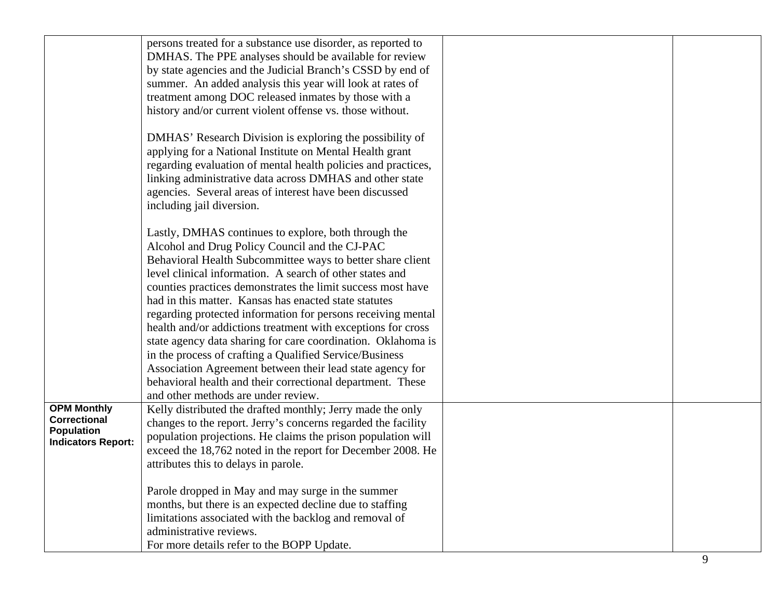|                           | persons treated for a substance use disorder, as reported to  |  |
|---------------------------|---------------------------------------------------------------|--|
|                           | DMHAS. The PPE analyses should be available for review        |  |
|                           | by state agencies and the Judicial Branch's CSSD by end of    |  |
|                           | summer. An added analysis this year will look at rates of     |  |
|                           |                                                               |  |
|                           | treatment among DOC released inmates by those with a          |  |
|                           | history and/or current violent offense vs. those without.     |  |
|                           |                                                               |  |
|                           | DMHAS' Research Division is exploring the possibility of      |  |
|                           | applying for a National Institute on Mental Health grant      |  |
|                           | regarding evaluation of mental health policies and practices, |  |
|                           | linking administrative data across DMHAS and other state      |  |
|                           |                                                               |  |
|                           | agencies. Several areas of interest have been discussed       |  |
|                           | including jail diversion.                                     |  |
|                           |                                                               |  |
|                           | Lastly, DMHAS continues to explore, both through the          |  |
|                           | Alcohol and Drug Policy Council and the CJ-PAC                |  |
|                           | Behavioral Health Subcommittee ways to better share client    |  |
|                           | level clinical information. A search of other states and      |  |
|                           | counties practices demonstrates the limit success most have   |  |
|                           | had in this matter. Kansas has enacted state statutes         |  |
|                           | regarding protected information for persons receiving mental  |  |
|                           |                                                               |  |
|                           | health and/or addictions treatment with exceptions for cross  |  |
|                           | state agency data sharing for care coordination. Oklahoma is  |  |
|                           | in the process of crafting a Qualified Service/Business       |  |
|                           | Association Agreement between their lead state agency for     |  |
|                           | behavioral health and their correctional department. These    |  |
|                           | and other methods are under review.                           |  |
| <b>OPM Monthly</b>        | Kelly distributed the drafted monthly; Jerry made the only    |  |
| <b>Correctional</b>       | changes to the report. Jerry's concerns regarded the facility |  |
| Population                | population projections. He claims the prison population will  |  |
| <b>Indicators Report:</b> | exceed the 18,762 noted in the report for December 2008. He   |  |
|                           | attributes this to delays in parole.                          |  |
|                           |                                                               |  |
|                           | Parole dropped in May and may surge in the summer             |  |
|                           | months, but there is an expected decline due to staffing      |  |
|                           | limitations associated with the backlog and removal of        |  |
|                           | administrative reviews.                                       |  |
|                           |                                                               |  |
|                           | For more details refer to the BOPP Update.                    |  |

9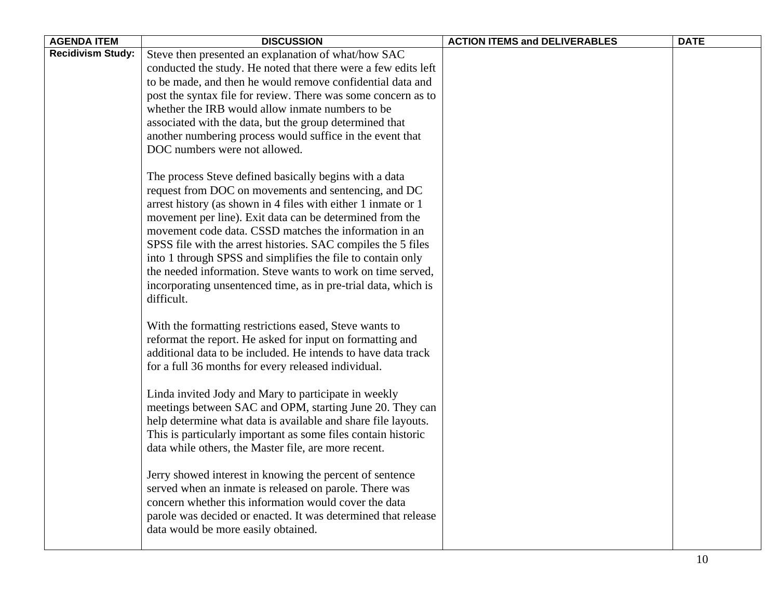| <b>AGENDA ITEM</b>       | <b>DISCUSSION</b>                                                                                                     | <b>ACTION ITEMS and DELIVERABLES</b> | <b>DATE</b> |
|--------------------------|-----------------------------------------------------------------------------------------------------------------------|--------------------------------------|-------------|
| <b>Recidivism Study:</b> | Steve then presented an explanation of what/how SAC<br>conducted the study. He noted that there were a few edits left |                                      |             |
|                          | to be made, and then he would remove confidential data and                                                            |                                      |             |
|                          | post the syntax file for review. There was some concern as to                                                         |                                      |             |
|                          | whether the IRB would allow inmate numbers to be                                                                      |                                      |             |
|                          | associated with the data, but the group determined that                                                               |                                      |             |
|                          | another numbering process would suffice in the event that                                                             |                                      |             |
|                          | DOC numbers were not allowed.                                                                                         |                                      |             |
|                          | The process Steve defined basically begins with a data                                                                |                                      |             |
|                          | request from DOC on movements and sentencing, and DC                                                                  |                                      |             |
|                          | arrest history (as shown in 4 files with either 1 inmate or 1                                                         |                                      |             |
|                          | movement per line). Exit data can be determined from the                                                              |                                      |             |
|                          | movement code data. CSSD matches the information in an                                                                |                                      |             |
|                          | SPSS file with the arrest histories. SAC compiles the 5 files                                                         |                                      |             |
|                          | into 1 through SPSS and simplifies the file to contain only                                                           |                                      |             |
|                          | the needed information. Steve wants to work on time served,                                                           |                                      |             |
|                          | incorporating unsentenced time, as in pre-trial data, which is<br>difficult.                                          |                                      |             |
|                          | With the formatting restrictions eased, Steve wants to                                                                |                                      |             |
|                          | reformat the report. He asked for input on formatting and                                                             |                                      |             |
|                          | additional data to be included. He intends to have data track                                                         |                                      |             |
|                          | for a full 36 months for every released individual.                                                                   |                                      |             |
|                          | Linda invited Jody and Mary to participate in weekly                                                                  |                                      |             |
|                          | meetings between SAC and OPM, starting June 20. They can                                                              |                                      |             |
|                          | help determine what data is available and share file layouts.                                                         |                                      |             |
|                          | This is particularly important as some files contain historic                                                         |                                      |             |
|                          | data while others, the Master file, are more recent.                                                                  |                                      |             |
|                          | Jerry showed interest in knowing the percent of sentence                                                              |                                      |             |
|                          | served when an inmate is released on parole. There was                                                                |                                      |             |
|                          | concern whether this information would cover the data                                                                 |                                      |             |
|                          | parole was decided or enacted. It was determined that release                                                         |                                      |             |
|                          | data would be more easily obtained.                                                                                   |                                      |             |
|                          |                                                                                                                       |                                      | 10          |

┑